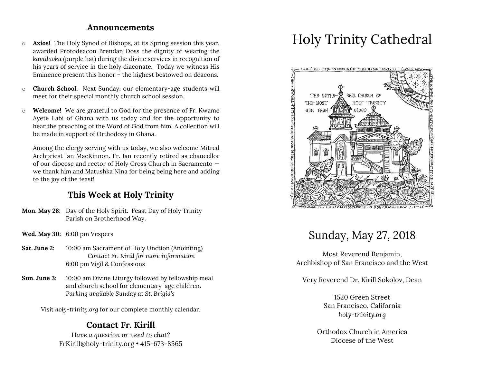#### **Announcements**

- o **Axios!** The Holy Synod of Bishops, at its Spring session this year, awarded Protodeacon Brendan Doss the dignity of wearing the *kamilavka* (purple hat) during the divine services in recognition of his years of service in the holy diaconate. Today we witness His Eminence present this honor – the highest bestowed on deacons.
- o **Church School.** Next Sunday, our elementary-age students will meet for their special monthly church school session.
- o **Welcome!** We are grateful to God for the presence of Fr. Kwame Ayete Labi of Ghana with us today and for the opportunity to hear the preaching of the Word of God from him. A collection will be made in support of Orthodoxy in Ghana.

Among the clergy serving with us today, we also welcome Mitred Archpriest Ian MacKinnon. Fr. Ian recently retired as chancellor of our diocese and rector of Holy Cross Church in Sacramento we thank him and Matushka Nina for being being here and adding to the joy of the feast!

### **This Week at Holy Trinity**

- **Mon. May 28:** Day of the Holy Spirit. Feast Day of Holy Trinity Parish on Brotherhood Way.
- **Wed. May 30:** 6:00 pm Vespers
- **Sat. June 2:** 10:00 am Sacrament of Holy Unction (Anointing) *Contact Fr. Kirill for more information* 6:00 pm Vigil & Confessions
- **Sun. June 3:** 10:00 am Divine Liturgy followed by fellowship meal and church school for elementary-age children. *Parking available Sunday at St. Brigid's*

Visit *holy-trinity.org* for our complete monthly calendar.

### **Contact Fr. Kirill**

*Have a question or need to chat?* FrKirill@holy-trinity.org • 415-673-8565

# Holy Trinity Cathedral



## Sunday, May 27, 2018

Most Reverend Benjamin, Archbishop of San Francisco and the West

Very Reverend Dr. Kirill Sokolov, Dean

1520 Green Street San Francisco, California *holy-trinity.org*

Orthodox Church in America Diocese of the West